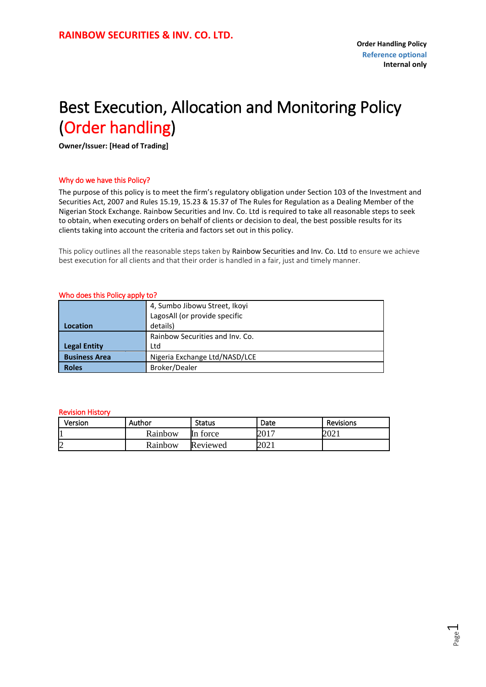### <span id="page-0-0"></span>Best Execution, Allocation and Monitoring Policy (Order handling)

**Owner/Issuer: [Head of Trading]**

#### Why do we have this Policy?

The purpose of this policy is to meet the firm's regulatory obligation under Section 103 of the Investment and Securities Act, 2007 and Rules 15.19, 15.23 & 15.37 of The Rules for Regulation as a Dealing Member of the Nigerian Stock Exchange. Rainbow Securities and Inv. Co. Ltd is required to take all reasonable steps to seek to obtain, when executing orders on behalf of clients or decision to deal, the best possible results for its clients taking into account the criteria and factors set out in this policy.

This policy outlines all the reasonable steps taken by Rainbow Securities and Inv. Co. Ltd to ensure we achieve best execution for all clients and that their order is handled in a fair, just and timely manner.

|  |  |  | Who does this Policy apply to? |  |  |
|--|--|--|--------------------------------|--|--|
|--|--|--|--------------------------------|--|--|

|                      | 4, Sumbo Jibowu Street, Ikoyi   |  |
|----------------------|---------------------------------|--|
|                      | LagosAll (or provide specific   |  |
| Location             | details)                        |  |
|                      | Rainbow Securities and Inv. Co. |  |
| <b>Legal Entity</b>  | Ltd                             |  |
| <b>Business Area</b> | Nigeria Exchange Ltd/NASD/LCE   |  |
| <b>Roles</b>         | Broker/Dealer                   |  |

#### Revision History

| Version | Author  | <b>Status</b> | Date | <b>Revisions</b> |
|---------|---------|---------------|------|------------------|
| Ш       | Rainbow | torce<br>ll n | 2017 | ∩∩ר<br>∠U∠ 1     |
| n<br>☑  | Rainbow | Reviewed      | 2021 |                  |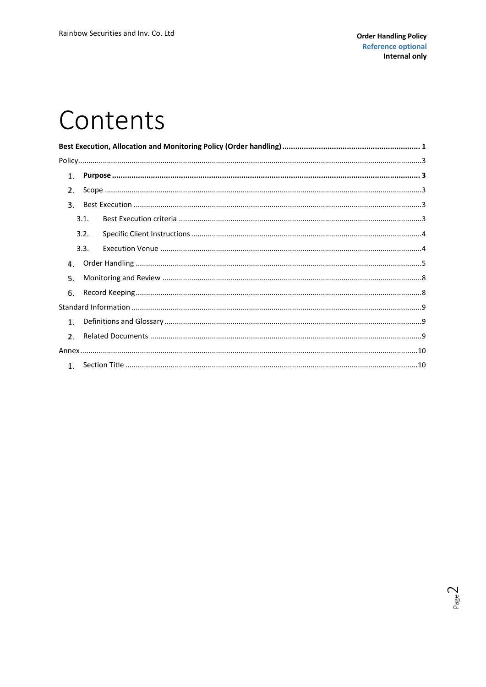### Contents

| 1.            |      |  |  |  |  |  |
|---------------|------|--|--|--|--|--|
| 2             |      |  |  |  |  |  |
| R.            |      |  |  |  |  |  |
|               | 3.1. |  |  |  |  |  |
|               | 3.2. |  |  |  |  |  |
|               | 3.3. |  |  |  |  |  |
| 4.            |      |  |  |  |  |  |
| 5.            |      |  |  |  |  |  |
| 6.            |      |  |  |  |  |  |
|               |      |  |  |  |  |  |
| 1.            |      |  |  |  |  |  |
| $\mathcal{L}$ |      |  |  |  |  |  |
|               |      |  |  |  |  |  |
|               |      |  |  |  |  |  |

Page $2$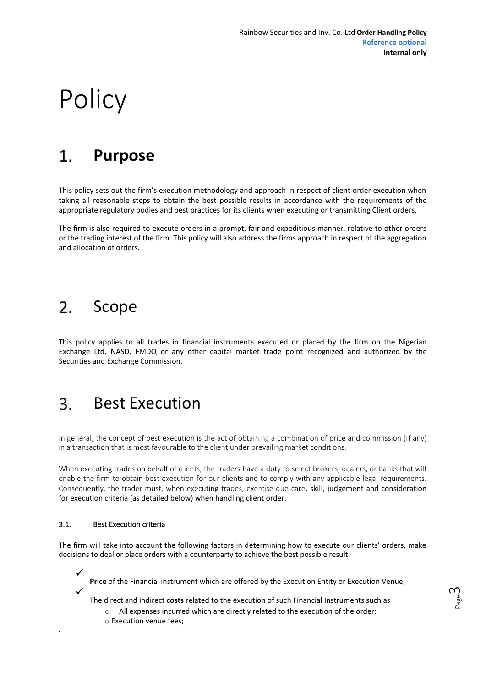# <span id="page-2-0"></span>**Policy**

#### **Purpose**  $\mathbf{1}$

This policy sets out the firm's execution methodology and approach in respect of client order execution when taking all reasonable steps to obtain the best possible results in accordance with the requirements of the appropriate regulatory bodies and best practices for its clients when executing or transmitting Client orders.

The firm is also required to execute orders in a prompt, fair and expeditious manner, relative to other orders or the trading interest of the firm. This policy will also address the firms approach in respect of the aggregation and allocation of orders.

#### $\mathcal{P}$ Scope

This policy applies to all trades in financial instruments executed or placed by the firm on the Nigerian Exchange Ltd, NASD, FMDQ or any other capital market trade point recognized and authorized by the Securities and Exchange Commission.

#### 3. Best Execution

In general, the concept of best execution is the act of obtaining a combination of price and commission (if any) in a transaction that is most favourable to the client under prevailing market conditions.

When executing trades on behalf of clients, the traders have a duty to select brokers, dealers, or banks that will enable the firm to obtain best execution for our clients and to comply with any applicable legal requirements. Consequently, the trader must, when executing trades, exercise due care, skill, judgement and consideration for execution criteria (as detailed below) when handling client order.

#### 3.1. Best Execution criteria

*.*

The firm will take into account the following factors in determining how to execute our clients' orders, make decisions to deal or place orders with a counterparty to achieve the best possible result:

 $\checkmark$ **Price** of the Financial instrument which are offered by the Execution Entity or Execution Venue;  $\checkmark$ 

The direct and indirect **costs** related to the execution of such Financial Instruments such as

Page ന

- o All expenses incurred which are directly related to the execution of the order;
- o Execution venue fees;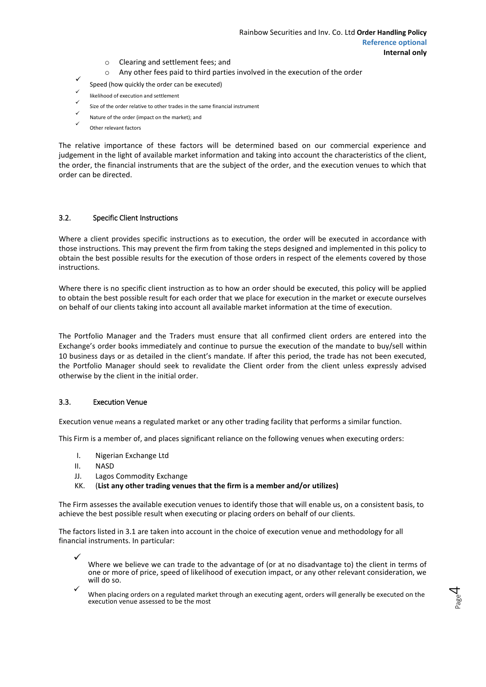- o Clearing and settlement fees; and
- Any other fees paid to third parties involved in the execution of the order
- <span id="page-3-0"></span> $\checkmark$ Speed (how quickly the order can be executed)
- ✓ likelihood of execution and settlement
- ✓ Size of the order relative to other trades in the same financial instrument
- ✓ Nature of the order (impact on the market); and
- ✓ Other relevant factors

The relative importance of these factors will be determined based on our commercial experience and judgement in the light of available market information and taking into account the characteristics of the client, the order, the financial instruments that are the subject of the order, and the execution venues to which that order can be directed.

#### 3.2. Specific Client Instructions

Where a client provides specific instructions as to execution, the order will be executed in accordance with those instructions. This may prevent the firm from taking the steps designed and implemented in this policy to obtain the best possible results for the execution of those orders in respect of the elements covered by those instructions.

Where there is no specific client instruction as to how an order should be executed, this policy will be applied to obtain the best possible result for each order that we place for execution in the market or execute ourselves on behalf of our clients taking into account all available market information at the time of execution.

The Portfolio Manager and the Traders must ensure that all confirmed client orders are entered into the Exchange's order books immediately and continue to pursue the execution of the mandate to buy/sell within 10 business days or as detailed in the client's mandate. If after this period, the trade has not been executed, the Portfolio Manager should seek to revalidate the Client order from the client unless expressly advised otherwise by the client in the initial order.

#### 3.3. Execution Venue

Execution venue means a regulated market or any other trading facility that performs a similar function.

This Firm is a member of, and places significant reliance on the following venues when executing orders:

- I. Nigerian Exchange Ltd
- II. NASD

 $\checkmark$ 

- JJ. Lagos Commodity Exchange
- KK. (**List any other trading venues that the firm is a member and/or utilizes)**

The Firm assesses the available execution venues to identify those that will enable us, on a consistent basis, to achieve the best possible result when executing or placing orders on behalf of our clients.

The factors listed in 3.1 are taken into account in the choice of execution venue and methodology for all financial instruments. In particular:

- $\checkmark$ Where we believe we can trade to the advantage of (or at no disadvantage to) the client in terms of one or more of price, speed of likelihood of execution impact, or any other relevant consideration, we will do so.
	- When placing orders on a regulated market through an executing agent, orders will generally be executed on the execution venue assessed to be the most

Page 4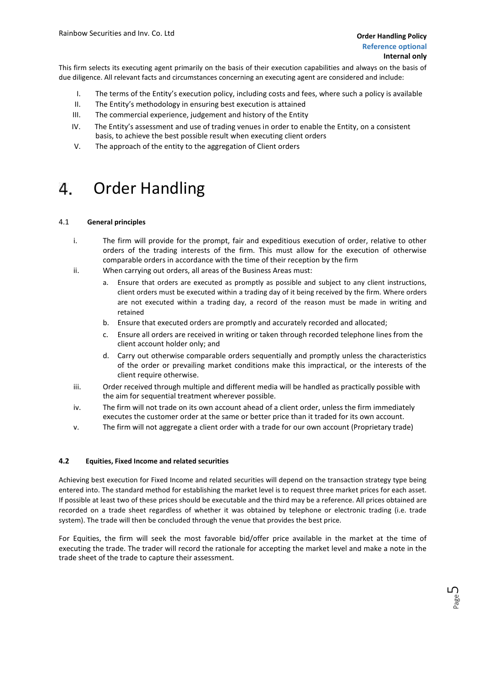Page ഥ

<span id="page-4-0"></span>This firm selects its executing agent primarily on the basis of their execution capabilities and always on the basis of due diligence. All relevant facts and circumstances concerning an executing agent are considered and include:

- I. The terms of the Entity's execution policy, including costs and fees, where such a policy is available
- II. The Entity's methodology in ensuring best execution is attained
- III. The commercial experience, judgement and history of the Entity
- IV. The Entity's assessment and use of trading venues in order to enable the Entity, on a consistent basis, to achieve the best possible result when executing client orders
- V. The approach of the entity to the aggregation of Client orders

#### Order Handling 4.

#### 4.1 **General principles**

- i. The firm will provide for the prompt, fair and expeditious execution of order, relative to other orders of the trading interests of the firm. This must allow for the execution of otherwise comparable orders in accordance with the time of their reception by the firm
- ii. When carrying out orders, all areas of the Business Areas must:
	- Ensure that orders are executed as promptly as possible and subject to any client instructions, client orders must be executed within a trading day of it being received by the firm. Where orders are not executed within a trading day, a record of the reason must be made in writing and retained
	- b. Ensure that executed orders are promptly and accurately recorded and allocated;
	- Ensure all orders are received in writing or taken through recorded telephone lines from the client account holder only; and
	- d. Carry out otherwise comparable orders sequentially and promptly unless the characteristics of the order or prevailing market conditions make this impractical, or the interests of the client require otherwise.
- iii. Order received through multiple and different media will be handled as practically possible with the aim for sequential treatment wherever possible.
- iv. The firm will not trade on its own account ahead of a client order, unless the firm immediately executes the customer order at the same or better price than it traded for its own account.
- v. The firm will not aggregate a client order with a trade for our own account (Proprietary trade)

#### **4.2 Equities, Fixed Income and related securities**

Achieving best execution for Fixed Income and related securities will depend on the transaction strategy type being entered into. The standard method for establishing the market level is to request three market prices for each asset. If possible at least two of these prices should be executable and the third may be a reference. All prices obtained are recorded on a trade sheet regardless of whether it was obtained by telephone or electronic trading (i.e. trade system). The trade will then be concluded through the venue that provides the best price.

For Equities, the firm will seek the most favorable bid/offer price available in the market at the time of executing the trade. The trader will record the rationale for accepting the market level and make a note in the trade sheet of the trade to capture their assessment.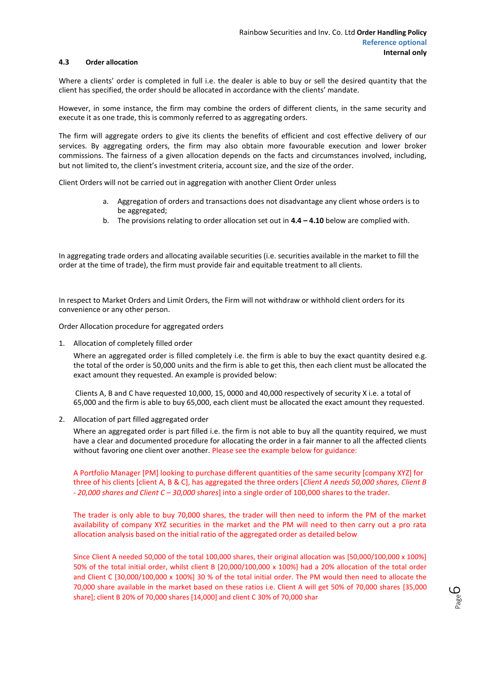#### **4.3 Order allocation**

Where a clients' order is completed in full i.e. the dealer is able to buy or sell the desired quantity that the client has specified, the order should be allocated in accordance with the clients' mandate.

However, in some instance, the firm may combine the orders of different clients, in the same security and execute it as one trade, this is commonly referred to as aggregating orders.

The firm will aggregate orders to give its clients the benefits of efficient and cost effective delivery of our services. By aggregating orders, the firm may also obtain more favourable execution and lower broker commissions. The fairness of a given allocation depends on the facts and circumstances involved, including, but not limited to, the client's investment criteria, account size, and the size of the order.

Client Orders will not be carried out in aggregation with another Client Order unless

- a. Aggregation of orders and transactions does not disadvantage any client whose orders is to be aggregated;
- b. The provisions relating to order allocation set out in **4.4 – 4.10** below are complied with.

In aggregating trade orders and allocating available securities (i.e. securities available in the market to fill the order at the time of trade), the firm must provide fair and equitable treatment to all clients.

In respect to Market Orders and Limit Orders, the Firm will not withdraw or withhold client orders for its convenience or any other person.

Order Allocation procedure for aggregated orders

1. Allocation of completely filled order

Where an aggregated order is filled completely i.e. the firm is able to buy the exact quantity desired e.g. the total of the order is 50,000 units and the firm is able to get this, then each client must be allocated the exact amount they requested. An example is provided below:

Clients A, B and C have requested 10,000, 15, 0000 and 40,000 respectively of security X i.e. a total of 65,000 and the firm is able to buy 65,000, each client must be allocated the exact amount they requested.

2. Allocation of part filled aggregated order

Where an aggregated order is part filled i.e. the firm is not able to buy all the quantity required, we must have a clear and documented procedure for allocating the order in a fair manner to all the affected clients without favoring one client over another. Please see the example below for guidance:

A Portfolio Manager [PM] looking to purchase different quantities of the same security [company XYZ] for three of his clients [client A, B & C], has aggregated the three orders [*Client A needs 50,000 shares, Client B* - *20,000 shares and Client C – 30,000 shares*] into a single order of 100,000 shares to the trader.

The trader is only able to buy 70,000 shares, the trader will then need to inform the PM of the market availability of company XYZ securities in the market and the PM will need to then carry out a pro rata allocation analysis based on the initial ratio of the aggregated order as detailed below

Since Client A needed 50,000 of the total 100,000 shares, their original allocation was [50,000/100,000 x 100%] 50% of the total initial order, whilst client B [20,000/100,000 x 100%] had a 20% allocation of the total order and Client C [30,000/100,000 x 100%] 30 % of the total initial order. The PM would then need to allocate the 70,000 share available in the market based on these ratios i.e. Client A will get 50% of 70,000 shares [35,000 share]; client B 20% of 70,000 shares [14,000] and client C 30% of 70,000 shar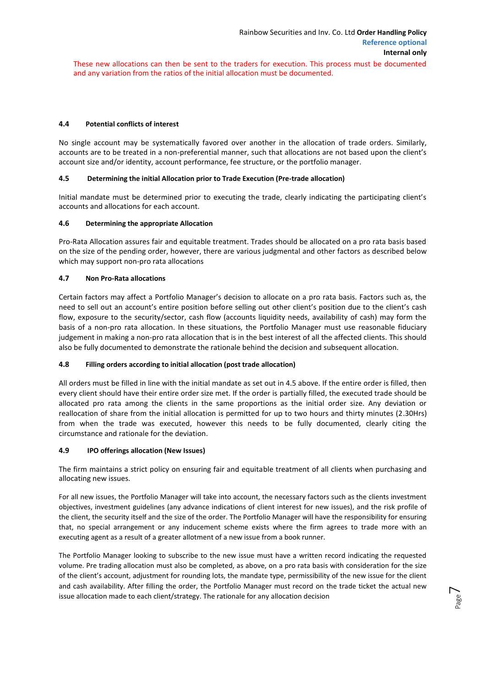These new allocations can then be sent to the traders for execution. This process must be documented and any variation from the ratios of the initial allocation must be documented.

#### **4.4 Potential conflicts of interest**

No single account may be systematically favored over another in the allocation of trade orders. Similarly, accounts are to be treated in a non-preferential manner, such that allocations are not based upon the client's account size and/or identity, account performance, fee structure, or the portfolio manager.

#### **4.5 Determining the initial Allocation prior to Trade Execution (Pre-trade allocation)**

Initial mandate must be determined prior to executing the trade, clearly indicating the participating client's accounts and allocations for each account.

#### **4.6 Determining the appropriate Allocation**

Pro-Rata Allocation assures fair and equitable treatment. Trades should be allocated on a pro rata basis based on the size of the pending order, however, there are various judgmental and other factors as described below which may support non-pro rata allocations

#### **4.7 Non Pro-Rata allocations**

Certain factors may affect a Portfolio Manager's decision to allocate on a pro rata basis. Factors such as, the need to sell out an account's entire position before selling out other client's position due to the client's cash flow, exposure to the security/sector, cash flow (accounts liquidity needs, availability of cash) may form the basis of a non-pro rata allocation. In these situations, the Portfolio Manager must use reasonable fiduciary judgement in making a non-pro rata allocation that is in the best interest of all the affected clients. This should also be fully documented to demonstrate the rationale behind the decision and subsequent allocation.

#### **4.8 Filling orders according to initial allocation (post trade allocation)**

All orders must be filled in line with the initial mandate as set out in 4.5 above. If the entire order is filled, then every client should have their entire order size met. If the order is partially filled, the executed trade should be allocated pro rata among the clients in the same proportions as the initial order size. Any deviation or reallocation of share from the initial allocation is permitted for up to two hours and thirty minutes (2.30Hrs) from when the trade was executed, however this needs to be fully documented, clearly citing the circumstance and rationale for the deviation.

#### **4.9 IPO offerings allocation (New Issues)**

The firm maintains a strict policy on ensuring fair and equitable treatment of all clients when purchasing and allocating new issues.

For all new issues, the Portfolio Manager will take into account, the necessary factors such as the clients investment objectives, investment guidelines (any advance indications of client interest for new issues), and the risk profile of the client, the security itself and the size of the order. The Portfolio Manager will have the responsibility for ensuring that, no special arrangement or any inducement scheme exists where the firm agrees to trade more with an executing agent as a result of a greater allotment of a new issue from a book runner.

The Portfolio Manager looking to subscribe to the new issue must have a written record indicating the requested volume. Pre trading allocation must also be completed, as above, on a pro rata basis with consideration for the size of the client's account, adjustment for rounding lots, the mandate type, permissibility of the new issue for the client and cash availability. After filling the order, the Portfolio Manager must record on the trade ticket the actual new issue allocation made to each client/strategy. The rationale for any allocation decision

Page  $\overline{\phantom{1}}$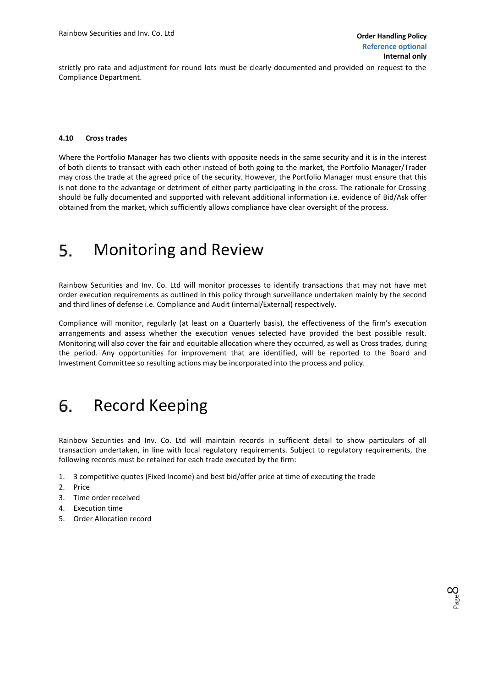Page  $\infty$ 

<span id="page-7-0"></span>strictly pro rata and adjustment for round lots must be clearly documented and provided on request to the Compliance Department.

#### **4.10 Cross trades**

Where the Portfolio Manager has two clients with opposite needs in the same security and it is in the interest of both clients to transact with each other instead of both going to the market, the Portfolio Manager/Trader may cross the trade at the agreed price of the security. However, the Portfolio Manager must ensure that this is not done to the advantage or detriment of either party participating in the cross. The rationale for Crossing should be fully documented and supported with relevant additional information i.e. evidence of Bid/Ask offer obtained from the market, which sufficiently allows compliance have clear oversight of the process.

#### Monitoring and Review 5.

Rainbow Securities and Inv. Co. Ltd will monitor processes to identify transactions that may not have met order execution requirements as outlined in this policy through surveillance undertaken mainly by the second and third lines of defense i.e. Compliance and Audit (internal/External) respectively.

Compliance will monitor, regularly (at least on a Quarterly basis), the effectiveness of the firm's execution arrangements and assess whether the execution venues selected have provided the best possible result. Monitoring will also cover the fair and equitable allocation where they occurred, as well as Cross trades, during the period. Any opportunities for improvement that are identified, will be reported to the Board and Investment Committee so resulting actions may be incorporated into the process and policy.

#### Record Keeping 6.

Rainbow Securities and Inv. Co. Ltd will maintain records in sufficient detail to show particulars of all transaction undertaken, in line with local regulatory requirements. Subject to regulatory requirements, the following records must be retained for each trade executed by the firm:

- 1. 3 competitive quotes (Fixed Income) and best bid/offer price at time of executing the trade
- 2. Price
- 3. Time order received
- 4. Execution time
- 5. Order Allocation record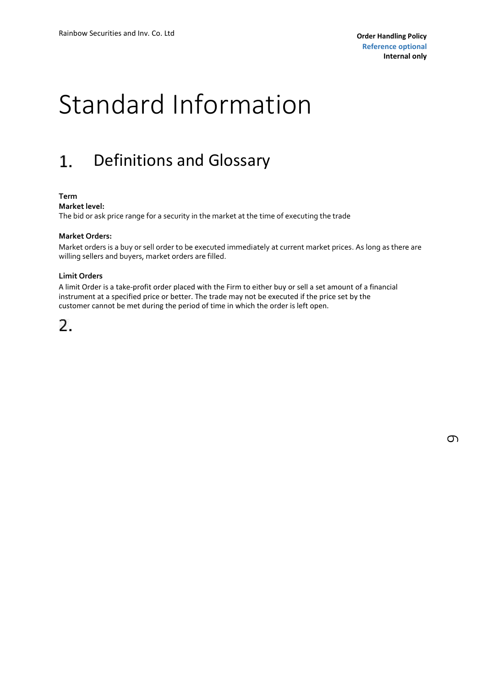## <span id="page-8-0"></span>Standard Information

#### 1. Definitions and Glossary

#### **Term**

**Market level:**

The bid or ask price range for a security in the market at the time of executing the trade

#### **Market Orders:**

Market orders is a buy or sell order to be executed immediately at current market prices. As long as there are willing sellers and buyers, market orders are filled.

#### **Limit Orders**

A limit Order is a take-profit order placed with the Firm to either buy or sell a set amount of a financial instrument at a specified price or better. The trade may not be executed if the price set by the customer cannot be met during the period of time in which the order is left open.

### 2.